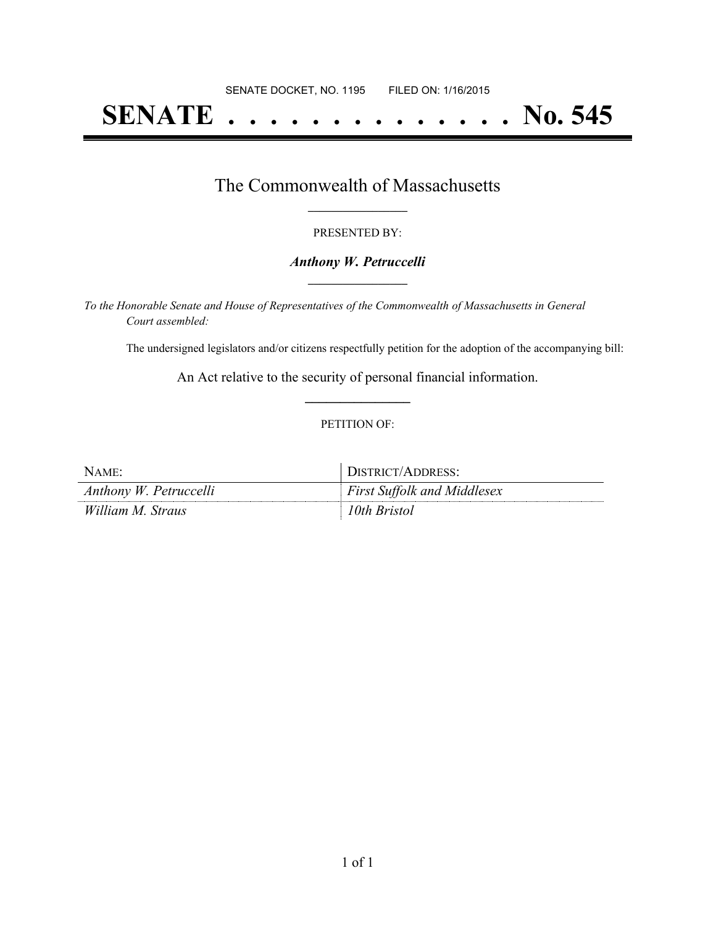# **SENATE . . . . . . . . . . . . . . No. 545**

### The Commonwealth of Massachusetts **\_\_\_\_\_\_\_\_\_\_\_\_\_\_\_\_\_**

#### PRESENTED BY:

#### *Anthony W. Petruccelli* **\_\_\_\_\_\_\_\_\_\_\_\_\_\_\_\_\_**

*To the Honorable Senate and House of Representatives of the Commonwealth of Massachusetts in General Court assembled:*

The undersigned legislators and/or citizens respectfully petition for the adoption of the accompanying bill:

An Act relative to the security of personal financial information. **\_\_\_\_\_\_\_\_\_\_\_\_\_\_\_**

#### PETITION OF:

| NAME:                  | DISTRICT/ADDRESS:                  |
|------------------------|------------------------------------|
| Anthony W. Petruccelli | <b>First Suffolk and Middlesex</b> |
| William M. Straus      | 10th Bristol                       |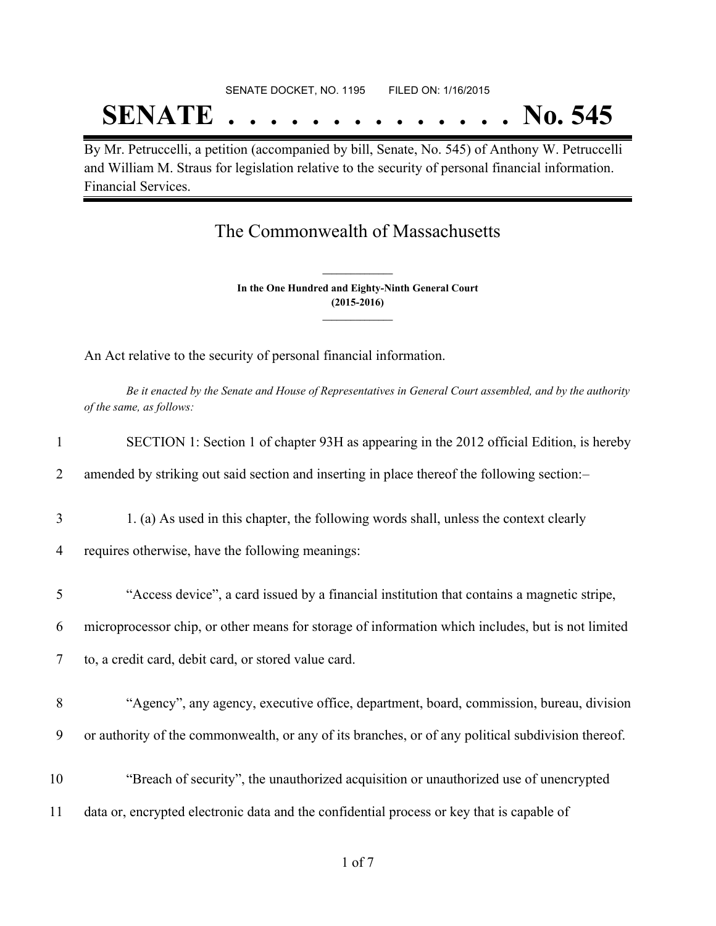# SENATE DOCKET, NO. 1195 FILED ON: 1/16/2015 **SENATE . . . . . . . . . . . . . . No. 545**

By Mr. Petruccelli, a petition (accompanied by bill, Senate, No. 545) of Anthony W. Petruccelli and William M. Straus for legislation relative to the security of personal financial information. Financial Services.

## The Commonwealth of Massachusetts

**In the One Hundred and Eighty-Ninth General Court (2015-2016) \_\_\_\_\_\_\_\_\_\_\_\_\_\_\_**

**\_\_\_\_\_\_\_\_\_\_\_\_\_\_\_**

An Act relative to the security of personal financial information.

Be it enacted by the Senate and House of Representatives in General Court assembled, and by the authority *of the same, as follows:*

| 1      | SECTION 1: Section 1 of chapter 93H as appearing in the 2012 official Edition, is hereby           |
|--------|----------------------------------------------------------------------------------------------------|
| 2      | amended by striking out said section and inserting in place thereof the following section:-        |
| 3      | 1. (a) As used in this chapter, the following words shall, unless the context clearly              |
| 4      | requires otherwise, have the following meanings:                                                   |
| 5      | "Access device", a card issued by a financial institution that contains a magnetic stripe,         |
| 6      | microprocessor chip, or other means for storage of information which includes, but is not limited  |
| $\tau$ | to, a credit card, debit card, or stored value card.                                               |
| 8      | "Agency", any agency, executive office, department, board, commission, bureau, division            |
| 9      | or authority of the commonwealth, or any of its branches, or of any political subdivision thereof. |
| 10     | "Breach of security", the unauthorized acquisition or unauthorized use of unencrypted              |
| 11     | data or, encrypted electronic data and the confidential process or key that is capable of          |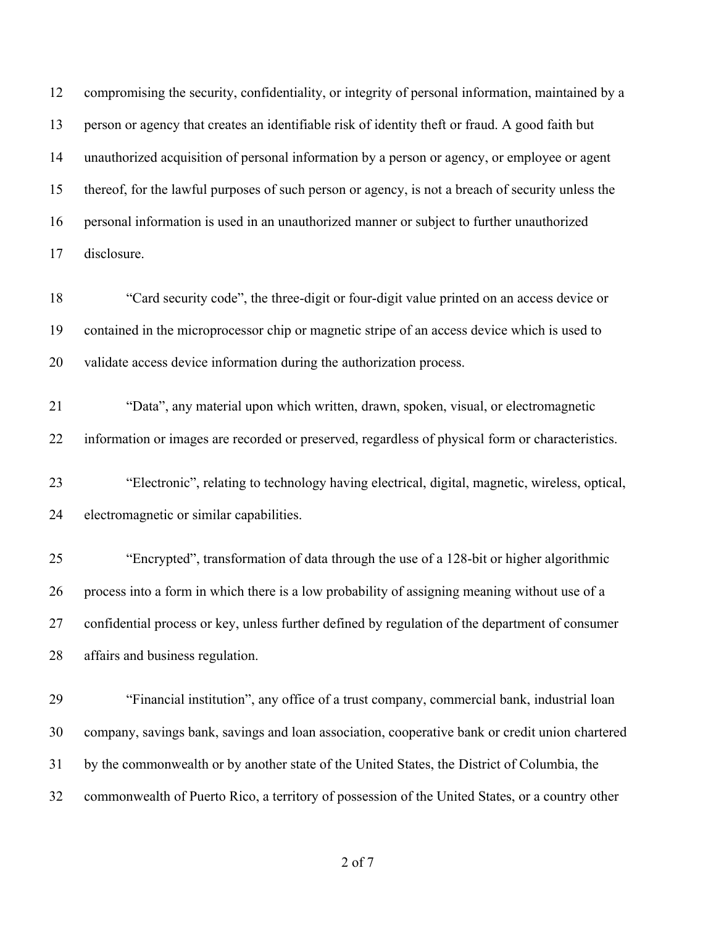compromising the security, confidentiality, or integrity of personal information, maintained by a person or agency that creates an identifiable risk of identity theft or fraud. A good faith but unauthorized acquisition of personal information by a person or agency, or employee or agent thereof, for the lawful purposes of such person or agency, is not a breach of security unless the personal information is used in an unauthorized manner or subject to further unauthorized disclosure.

 "Card security code", the three-digit or four-digit value printed on an access device or contained in the microprocessor chip or magnetic stripe of an access device which is used to validate access device information during the authorization process.

 "Data", any material upon which written, drawn, spoken, visual, or electromagnetic information or images are recorded or preserved, regardless of physical form or characteristics.

 "Electronic", relating to technology having electrical, digital, magnetic, wireless, optical, electromagnetic or similar capabilities.

 "Encrypted", transformation of data through the use of a 128-bit or higher algorithmic process into a form in which there is a low probability of assigning meaning without use of a confidential process or key, unless further defined by regulation of the department of consumer affairs and business regulation.

 "Financial institution", any office of a trust company, commercial bank, industrial loan company, savings bank, savings and loan association, cooperative bank or credit union chartered by the commonwealth or by another state of the United States, the District of Columbia, the commonwealth of Puerto Rico, a territory of possession of the United States, or a country other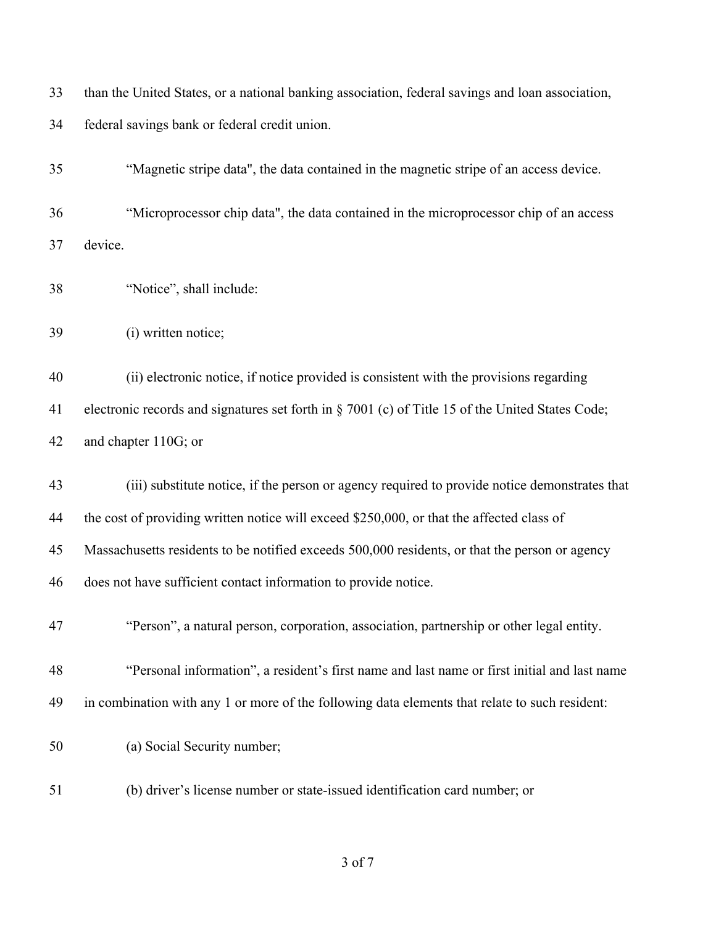| 33 | than the United States, or a national banking association, federal savings and loan association, |
|----|--------------------------------------------------------------------------------------------------|
| 34 | federal savings bank or federal credit union.                                                    |
| 35 | "Magnetic stripe data", the data contained in the magnetic stripe of an access device.           |
| 36 | "Microprocessor chip data", the data contained in the microprocessor chip of an access           |
| 37 | device.                                                                                          |
| 38 | "Notice", shall include:                                                                         |
| 39 | (i) written notice;                                                                              |
| 40 | (ii) electronic notice, if notice provided is consistent with the provisions regarding           |
| 41 | electronic records and signatures set forth in § 7001 (c) of Title 15 of the United States Code; |
| 42 | and chapter 110G; or                                                                             |
| 43 | (iii) substitute notice, if the person or agency required to provide notice demonstrates that    |
| 44 | the cost of providing written notice will exceed \$250,000, or that the affected class of        |
| 45 | Massachusetts residents to be notified exceeds 500,000 residents, or that the person or agency   |
| 46 | does not have sufficient contact information to provide notice.                                  |
| 47 | "Person", a natural person, corporation, association, partnership or other legal entity.         |
| 48 | "Personal information", a resident's first name and last name or first initial and last name     |
| 49 | in combination with any 1 or more of the following data elements that relate to such resident:   |
| 50 | (a) Social Security number;                                                                      |
| 51 | (b) driver's license number or state-issued identification card number; or                       |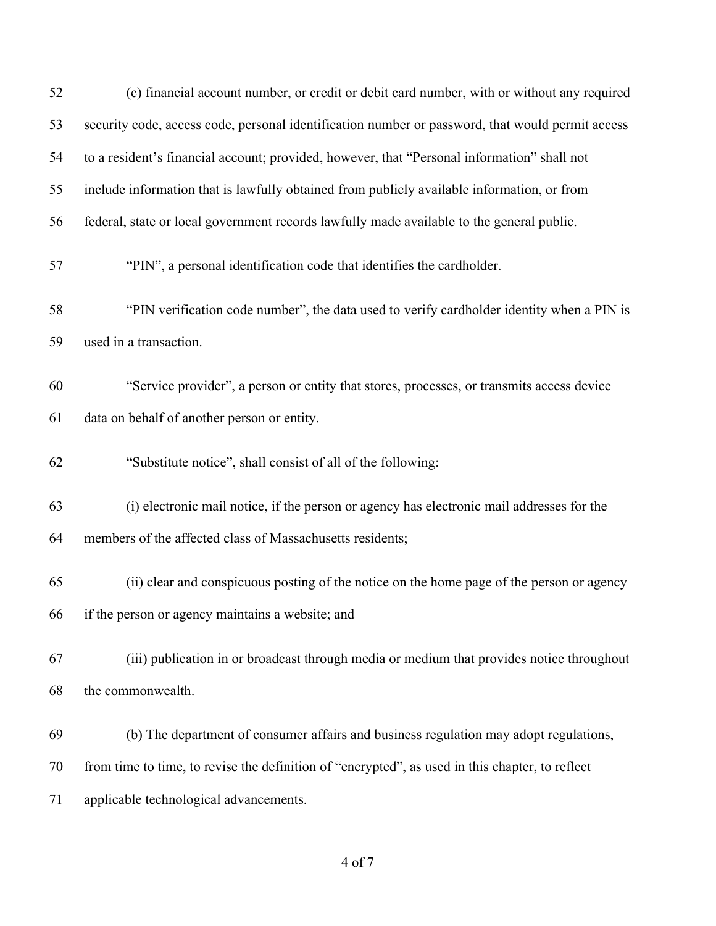| 52 | (c) financial account number, or credit or debit card number, with or without any required       |
|----|--------------------------------------------------------------------------------------------------|
| 53 | security code, access code, personal identification number or password, that would permit access |
| 54 | to a resident's financial account; provided, however, that "Personal information" shall not      |
| 55 | include information that is lawfully obtained from publicly available information, or from       |
| 56 | federal, state or local government records lawfully made available to the general public.        |
| 57 | "PIN", a personal identification code that identifies the cardholder.                            |
| 58 | "PIN verification code number", the data used to verify cardholder identity when a PIN is        |
| 59 | used in a transaction.                                                                           |
| 60 | "Service provider", a person or entity that stores, processes, or transmits access device        |
| 61 | data on behalf of another person or entity.                                                      |
| 62 | "Substitute notice", shall consist of all of the following:                                      |
| 63 | (i) electronic mail notice, if the person or agency has electronic mail addresses for the        |
| 64 | members of the affected class of Massachusetts residents;                                        |
| 65 | (ii) clear and conspicuous posting of the notice on the home page of the person or agency        |
| 66 | if the person or agency maintains a website; and                                                 |
| 67 | (iii) publication in or broadcast through media or medium that provides notice throughout        |
| 68 | the commonwealth.                                                                                |
| 69 | (b) The department of consumer affairs and business regulation may adopt regulations,            |
| 70 | from time to time, to revise the definition of "encrypted", as used in this chapter, to reflect  |
| 71 | applicable technological advancements.                                                           |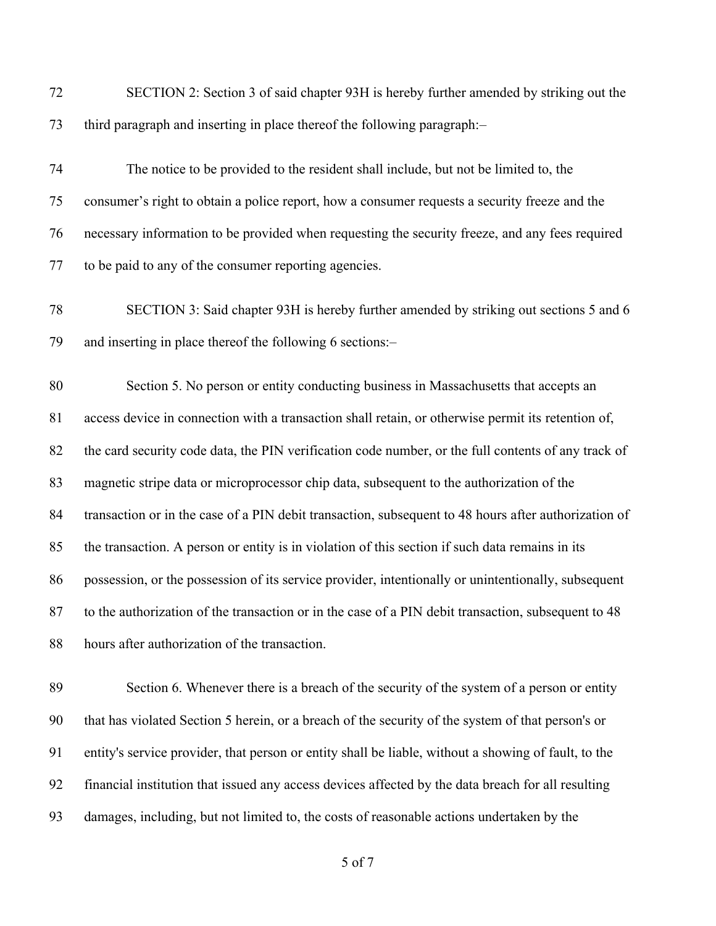| 72 | SECTION 2: Section 3 of said chapter 93H is hereby further amended by striking out the               |
|----|------------------------------------------------------------------------------------------------------|
| 73 | third paragraph and inserting in place thereof the following paragraph:-                             |
| 74 | The notice to be provided to the resident shall include, but not be limited to, the                  |
| 75 | consumer's right to obtain a police report, how a consumer requests a security freeze and the        |
| 76 | necessary information to be provided when requesting the security freeze, and any fees required      |
| 77 | to be paid to any of the consumer reporting agencies.                                                |
| 78 | SECTION 3: Said chapter 93H is hereby further amended by striking out sections 5 and 6               |
| 79 | and inserting in place thereof the following 6 sections:-                                            |
| 80 | Section 5. No person or entity conducting business in Massachusetts that accepts an                  |
| 81 | access device in connection with a transaction shall retain, or otherwise permit its retention of,   |
| 82 | the card security code data, the PIN verification code number, or the full contents of any track of  |
| 83 | magnetic stripe data or microprocessor chip data, subsequent to the authorization of the             |
| 84 | transaction or in the case of a PIN debit transaction, subsequent to 48 hours after authorization of |
| 85 | the transaction. A person or entity is in violation of this section if such data remains in its      |
| 86 | possession, or the possession of its service provider, intentionally or unintentionally, subsequent  |
| 87 | to the authorization of the transaction or in the case of a PIN debit transaction, subsequent to 48  |
| 88 | hours after authorization of the transaction.                                                        |
| 89 | Section 6. Whenever there is a breach of the security of the system of a person or entity            |
| 90 | that has violated Section 5 herein, or a breach of the security of the system of that person's or    |
| 91 | entity's service provider, that person or entity shall be liable, without a showing of fault, to the |
| 92 | financial institution that issued any access devices affected by the data breach for all resulting   |

damages, including, but not limited to, the costs of reasonable actions undertaken by the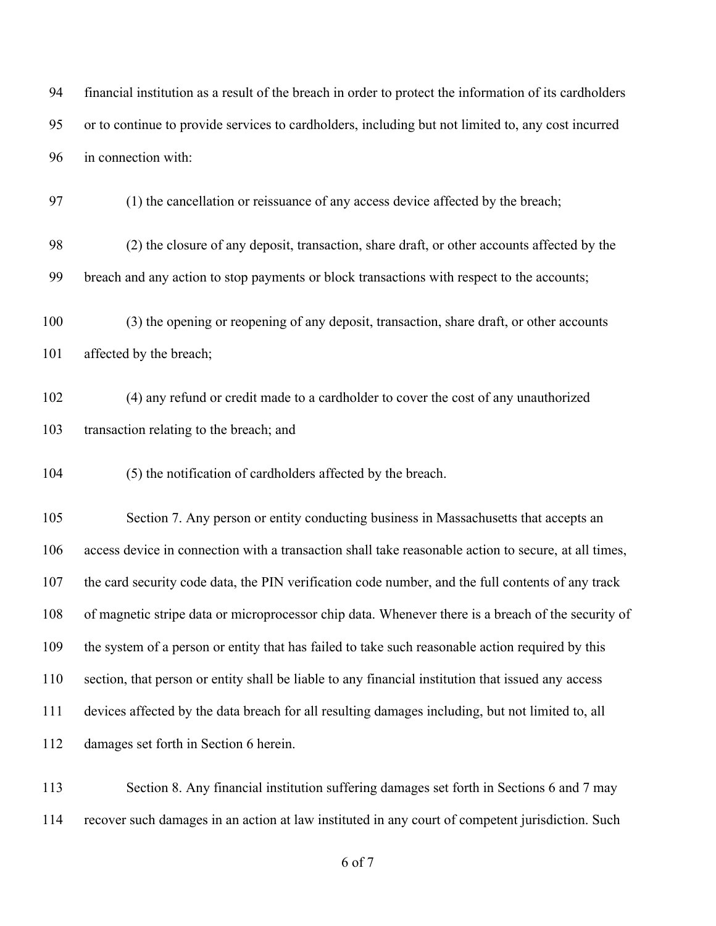financial institution as a result of the breach in order to protect the information of its cardholders or to continue to provide services to cardholders, including but not limited to, any cost incurred in connection with:

(1) the cancellation or reissuance of any access device affected by the breach;

 (2) the closure of any deposit, transaction, share draft, or other accounts affected by the breach and any action to stop payments or block transactions with respect to the accounts;

 (3) the opening or reopening of any deposit, transaction, share draft, or other accounts 101 affected by the breach;

 (4) any refund or credit made to a cardholder to cover the cost of any unauthorized transaction relating to the breach; and

(5) the notification of cardholders affected by the breach.

 Section 7. Any person or entity conducting business in Massachusetts that accepts an access device in connection with a transaction shall take reasonable action to secure, at all times, the card security code data, the PIN verification code number, and the full contents of any track of magnetic stripe data or microprocessor chip data. Whenever there is a breach of the security of the system of a person or entity that has failed to take such reasonable action required by this section, that person or entity shall be liable to any financial institution that issued any access devices affected by the data breach for all resulting damages including, but not limited to, all damages set forth in Section 6 herein.

113 Section 8. Any financial institution suffering damages set forth in Sections 6 and 7 may recover such damages in an action at law instituted in any court of competent jurisdiction. Such